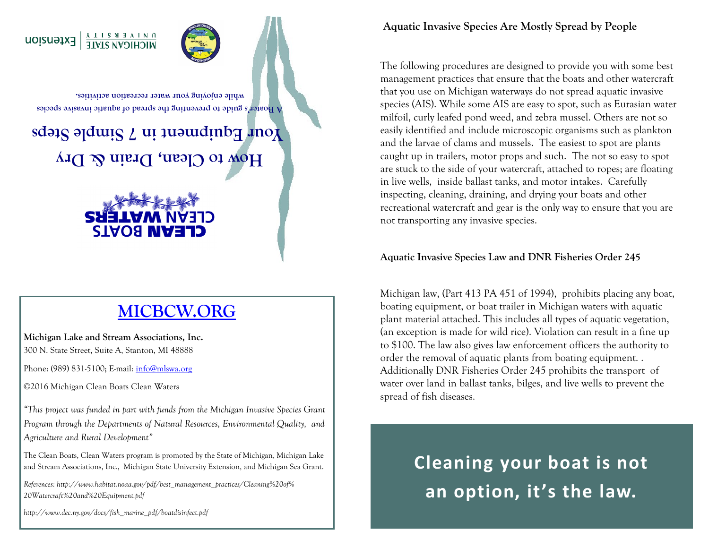

**A Boater's guide to preventing the spread of aquatic invasive species while enjoying your water recreation activities.**

**How to Clean, Drain & Dry Your Equipment in 7 Simple Steps**



## **[MICBCW.ORG](http://www.micbcw.org)**

**Michigan Lake and Stream Associations, Inc.**  300 N. State Street, Suite A, Stanton, MI 48888

Phone: (989) 831-5100; E-mail: [info@mlswa.org](mailto:info@mlswa.org)

©2016 Michigan Clean Boats Clean Waters

*"This project was funded in part with funds from the Michigan Invasive Species Grant Program through the Departments of Natural Resources, Environmental Quality, and Agriculture and Rural Development"*

The Clean Boats, Clean Waters program is promoted by the State of Michigan, Michigan Lake and Stream Associations, Inc., Michigan State University Extension, and Michigan Sea Grant.

*References: http://www.habitat.noaa.gov/pdf/best\_management\_practices/Cleaning%20of% 20Watercraft%20and%20Equipment.pdf* 

*http://www.dec.ny.gov/docs/fish\_marine\_pdf/boatdisinfect.pdf*

**Aquatic Invasive Species Are Mostly Spread by People**

The following procedures are designed to provide you with some best management practices that ensure that the boats and other watercraft that you use on Michigan waterways do not spread aquatic invasive species (AIS). While some AIS are easy to spot, such as Eurasian water milfoil, curly leafed pond weed, and zebra mussel. Others are not so easily identified and include microscopic organisms such as plankton and the larvae of clams and mussels. The easiest to spot are plants caught up in trailers, motor props and such. The not so easy to spot are stuck to the side of your watercraft, attached to ropes; are floating in live wells, inside ballast tanks, and motor intakes. Carefully inspecting, cleaning, draining, and drying your boats and other recreational watercraft and gear is the only way to ensure that you are not transporting any invasive species.

## **Aquatic Invasive Species Law and DNR Fisheries Order 245**

Michigan law, (Part 413 PA 451 of 1994), prohibits placing any boat, boating equipment, or boat trailer in Michigan waters with aquatic plant material attached. This includes all types of aquatic vegetation, (an exception is made for wild rice). Violation can result in a fine up to \$100. The law also gives law enforcement officers the authority to order the removal of aquatic plants from boating equipment. . Additionally DNR Fisheries Order 245 prohibits the transport of water over land in ballast tanks, bilges, and live wells to prevent the spread of fish diseases.

> **Cleaning your boat is not an option, it's the law.**